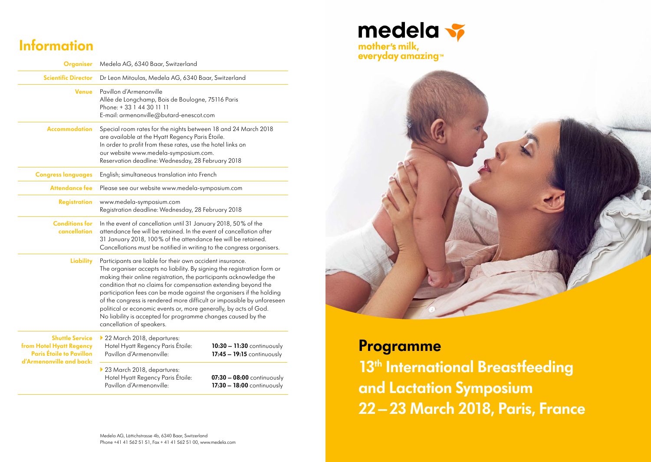## **Information**

**Organiser** Medela AG, 6340 Baar, Switzerland **Scientific Director** Dr Leon Mitoulas, Medela AG, 6340 Baar, Switzerland **Venue** Pavillon d'Armenonville Allée de Longchamp, Bois de Boulogne, 75116 Paris Phone: + 33 1 44 30 11 11 E-mail: armenonville@butard-enescot.com **Accommodation** Special room rates for the nights between 18 and 24 March 2018 are available at the Hyatt Regency Paris Étoile. In order to profit from these rates, use the hotel links on our website www.medela-symposium.com. Reservation deadline: Wednesday, 28 February 2018 **Congress languages** English; simultaneous translation into French **Attendance fee** Please see our website www.medela-symposium.com **Registration** www.medela-symposium.com Registration deadline: Wednesday, 28 February 2018 **Conditions for**  In the event of cancellation until 31 January 2018, 50% of the **cancellation** attendance fee will be retained. In the event of cancellation after 31 January 2018, 100% of the attendance fee will be retained. Cancellations must be notified in writing to the congress organisers. **Liability** Participants are liable for their own accident insurance. The organiser accepts no liability. By signing the registration form or making their online registration, the participants acknowledge the condition that no claims for compensation extending beyond the participation fees can be made against the organisers if the holding of the congress is rendered more difficult or impossible by unforeseen political or economic events or, more generally, by acts of God. No liability is accepted for programme changes caused by the cancellation of speakers. **Shuttle Service from Hotel Hyatt Regency Paris Étoile to Pavillon d'Armenonville and back:** ▶ 22 March 2018, departures: Hotel Hyatt Regency Paris Étoile: **10:30 – 11:30** continuously Pavillon d'Armenonville: **17:45 – 19:15** continuously ▶ 23 March 2018, departures: Hotel Hyatt Regency Paris Étoile: **07:30 – 08:00** continuously Pavillon d'Armenonville: **17:30 – 18:00** continuously





## **Programme**

**13<sup>th</sup> International Breastfeeding and Lactation Symposium 22–23 March 2018, Paris, France**